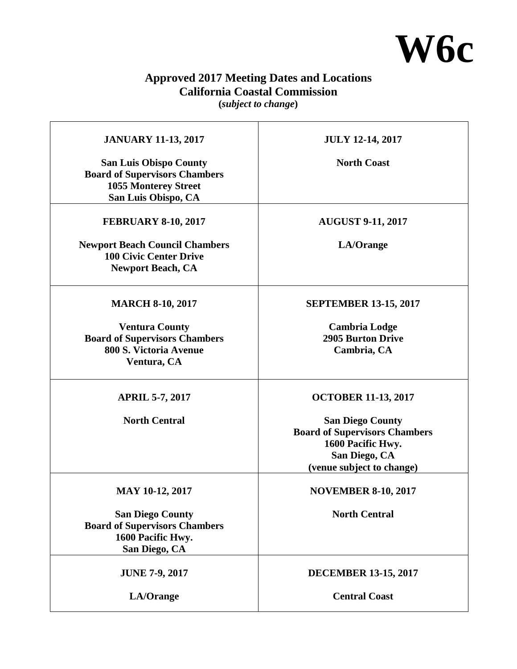

## **Approved 2017 Meeting Dates and Locations California Coastal Commission**

**(***subject to change***)** 

| <b>JANUARY 11-13, 2017</b>                                                                                                  | <b>JULY 12-14, 2017</b>                                                                                                            |
|-----------------------------------------------------------------------------------------------------------------------------|------------------------------------------------------------------------------------------------------------------------------------|
| <b>San Luis Obispo County</b><br><b>Board of Supervisors Chambers</b><br><b>1055 Monterey Street</b><br>San Luis Obispo, CA | <b>North Coast</b>                                                                                                                 |
| <b>FEBRUARY 8-10, 2017</b>                                                                                                  | <b>AUGUST 9-11, 2017</b>                                                                                                           |
| <b>Newport Beach Council Chambers</b><br><b>100 Civic Center Drive</b><br><b>Newport Beach, CA</b>                          | LA/Orange                                                                                                                          |
| <b>MARCH 8-10, 2017</b>                                                                                                     | <b>SEPTEMBER 13-15, 2017</b>                                                                                                       |
| <b>Ventura County</b><br><b>Board of Supervisors Chambers</b><br>800 S. Victoria Avenue<br>Ventura, CA                      | <b>Cambria Lodge</b><br><b>2905 Burton Drive</b><br>Cambria, CA                                                                    |
| <b>APRIL 5-7, 2017</b>                                                                                                      | <b>OCTOBER 11-13, 2017</b>                                                                                                         |
| <b>North Central</b>                                                                                                        | <b>San Diego County</b><br><b>Board of Supervisors Chambers</b><br>1600 Pacific Hwy.<br>San Diego, CA<br>(venue subject to change) |
| <b>MAY 10-12, 2017</b>                                                                                                      | <b>NOVEMBER 8-10, 2017</b>                                                                                                         |
| <b>San Diego County</b><br><b>Board of Supervisors Chambers</b><br>1600 Pacific Hwy.<br>San Diego, CA                       | <b>North Central</b>                                                                                                               |
| <b>JUNE 7-9, 2017</b>                                                                                                       | <b>DECEMBER 13-15, 2017</b>                                                                                                        |
| LA/Orange                                                                                                                   | <b>Central Coast</b>                                                                                                               |